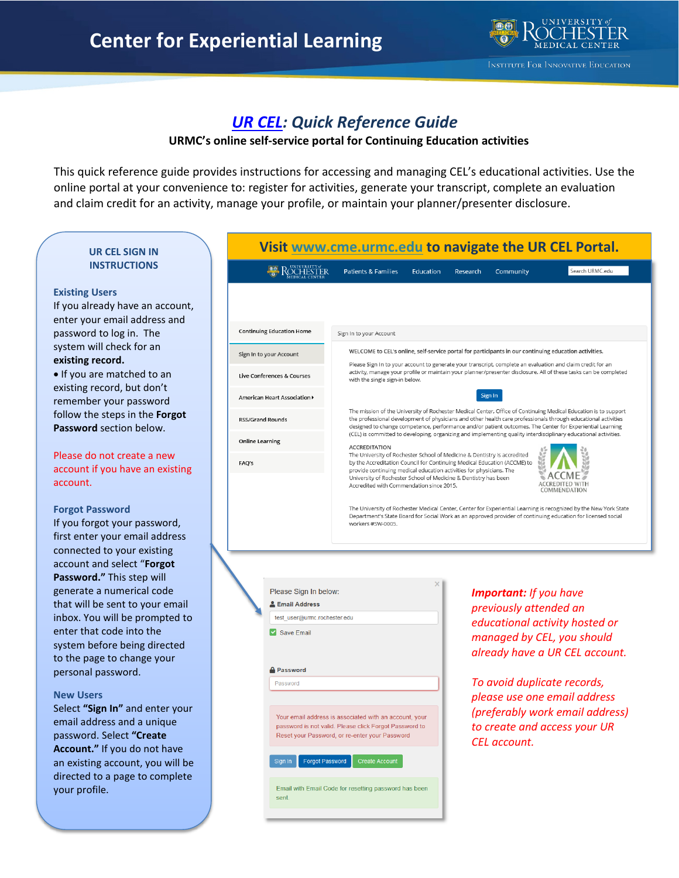

# *[UR CEL:](http://www.cme.urmc.edu/) Quick Reference Guide*

## **URMC's online self-service portal for Continuing Education activities**

This quick reference guide provides instructions for accessing and managing CEL's educational activities. Use the online portal at your convenience to: register for activities, generate your transcript, complete an evaluation and claim credit for an activity, manage your profile, or maintain your planner/presenter disclosure.

## **UR CEL SIGN IN INSTRUCTIONS**

#### **Existing Users**

If you already have an account, enter your email address and password to log in. The system will check for an **existing record.**

• If you are matched to an existing record, but don't remember your password follow the steps in the **Forgot Password** section below.

Please do not create a new account if you have an existing account.

#### **Forgot Password**

If you forgot your password, first enter your email address connected to your existing account and select "**Forgot Password."** This step will generate a numerical code that will be sent to your email inbox. You will be prompted to enter that code into the system before being directed to the page to change your personal password.

#### **New Users**

Select **"Sign In"** and enter your email address and a unique password. Select **"Create Account."** If you do not have an existing account, you will be directed to a page to complete your profile.

| Visit www.cme.urmc.edu to navigate the UR CEL Portal.                                       |                                                                                                                                                                                                                                                                                                                                                                                                                                                                                                                                                                                                                     |           |                             |                                                         |                                                                                                |  |
|---------------------------------------------------------------------------------------------|---------------------------------------------------------------------------------------------------------------------------------------------------------------------------------------------------------------------------------------------------------------------------------------------------------------------------------------------------------------------------------------------------------------------------------------------------------------------------------------------------------------------------------------------------------------------------------------------------------------------|-----------|-----------------------------|---------------------------------------------------------|------------------------------------------------------------------------------------------------|--|
| KOCHESTER                                                                                   | <b>Patients &amp; Families</b>                                                                                                                                                                                                                                                                                                                                                                                                                                                                                                                                                                                      | Education | Research                    | Community                                               | Search URMC.edu                                                                                |  |
| <b>Continuing Education Home</b>                                                            | Sign In to your Account                                                                                                                                                                                                                                                                                                                                                                                                                                                                                                                                                                                             |           |                             |                                                         |                                                                                                |  |
| Sign In to your Account                                                                     | WELCOME to CEL's online, self-service portal for participants in our continuing education activities.                                                                                                                                                                                                                                                                                                                                                                                                                                                                                                               |           |                             |                                                         |                                                                                                |  |
| <b>Live Conferences &amp; Courses</b>                                                       | Please Sign In to your account to generate your transcript, complete an evaluation and claim credit for an<br>activity, manage your profile or maintain your planner/presenter disclosure. All of these tasks can be completed<br>with the single sign-in below.                                                                                                                                                                                                                                                                                                                                                    |           |                             |                                                         |                                                                                                |  |
| American Heart Association ▶                                                                | Sign In<br>The mission of the University of Rochester Medical Center, Office of Continuing Medical Education is to support<br>the professional development of physicians and other health care professionals through educational activities<br>designed to change competence, performance and/or patient outcomes. The Center for Experiential Learning<br>(CEL) is committed to developing, organizing and implementing quality interdisciplinary educational activities.<br><b>ACCREDITATION</b>                                                                                                                  |           |                             |                                                         |                                                                                                |  |
| <b>RSS/Grand Rounds</b>                                                                     |                                                                                                                                                                                                                                                                                                                                                                                                                                                                                                                                                                                                                     |           |                             |                                                         |                                                                                                |  |
| <b>Online Learning</b>                                                                      |                                                                                                                                                                                                                                                                                                                                                                                                                                                                                                                                                                                                                     |           |                             |                                                         |                                                                                                |  |
| FAQ's                                                                                       | The University of Rochester School of Medicine & Dentistry is accredited<br>by the Accreditation Council for Continuing Medical Education (ACCME) to<br>provide continuing medical education activities for physicians. The<br>University of Rochester School of Medicine & Dentistry has been<br>Accredited with Commendation since 2015.<br>COMMENDATION<br>The University of Rochester Medical Center, Center for Experiential Learning is recognized by the New York State<br>Department's State Board for Social Work as an approved provider of continuing education for licensed social<br>workers #SW-0005. |           |                             |                                                         |                                                                                                |  |
| Please Sign In below:<br><b>Email Address</b><br>test user@urmc.rochester.edu<br>Save Email |                                                                                                                                                                                                                                                                                                                                                                                                                                                                                                                                                                                                                     |           |                             | <b>Important:</b> If you have<br>previously attended an | educational activity hosted or<br>managed by CEL, you should<br>already have a UR CEL account. |  |
| <b>A</b> Password<br>Password                                                               |                                                                                                                                                                                                                                                                                                                                                                                                                                                                                                                                                                                                                     |           | To avoid duplicate records, |                                                         |                                                                                                |  |

Your email address is associated with an account, your password is not valid. Please click Forgot Password to Reset your Password, or re-enter your Password

Email with Email Code for resetting password has been sent.

Forgot Password

Sign In

*To avoid duplicate records, please use one email address (preferably work email address) to create and access your UR CEL account.*